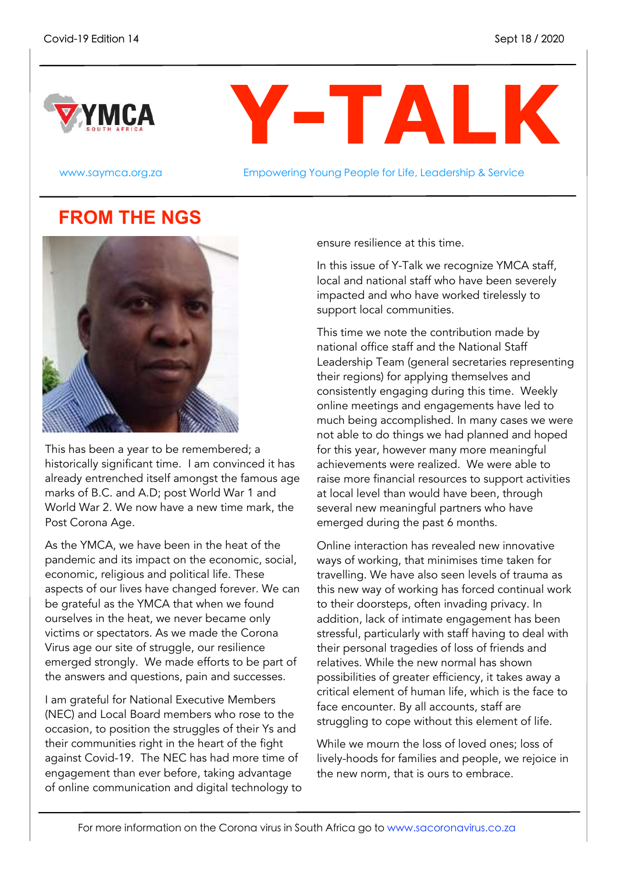



www.saymca.org.za **Empowering Young People for Life, Leadership & Service** 

### **FROM THE NGS**



This has been a year to be remembered; a historically significant time. I am convinced it has already entrenched itself amongst the famous age marks of B.C. and A.D; post World War 1 and World War 2. We now have a new time mark, the Post Corona Age.

As the YMCA, we have been in the heat of the pandemic and its impact on the economic, social, economic, religious and political life. These aspects of our lives have changed forever. We can be grateful as the YMCA that when we found ourselves in the heat, we never became only victims or spectators. As we made the Corona Virus age our site of struggle, our resilience emerged strongly. We made efforts to be part of the answers and questions, pain and successes.

I am grateful for National Executive Members (NEC) and Local Board members who rose to the occasion, to position the struggles of their Ys and their communities right in the heart of the fight against Covid-19. The NEC has had more time of engagement than ever before, taking advantage of online communication and digital technology to ensure resilience at this time.

In this issue of Y-Talk we recognize YMCA staff, local and national staff who have been severely impacted and who have worked tirelessly to support local communities.

This time we note the contribution made by national office staff and the National Staff Leadership Team (general secretaries representing their regions) for applying themselves and consistently engaging during this time. Weekly online meetings and engagements have led to much being accomplished. In many cases we were not able to do things we had planned and hoped for this year, however many more meaningful achievements were realized. We were able to raise more financial resources to support activities at local level than would have been, through several new meaningful partners who have emerged during the past 6 months.

Online interaction has revealed new innovative ways of working, that minimises time taken for travelling. We have also seen levels of trauma as this new way of working has forced continual work to their doorsteps, often invading privacy. In addition, lack of intimate engagement has been stressful, particularly with staff having to deal with their personal tragedies of loss of friends and relatives. While the new normal has shown possibilities of greater efficiency, it takes away a critical element of human life, which is the face to face encounter. By all accounts, staff are struggling to cope without this element of life.

While we mourn the loss of loved ones; loss of lively-hoods for families and people, we rejoice in the new norm, that is ours to embrace.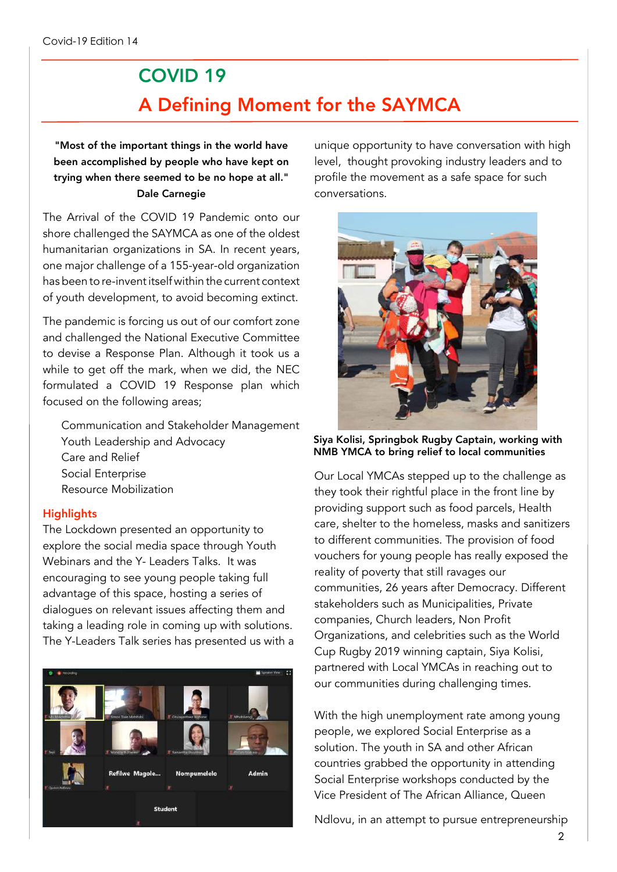### COVID 19 A Defining Moment for the SAYMCA

"Most of the important things in the world have been accomplished by people who have kept on trying when there seemed to be no hope at all." Dale Carnegie

The Arrival of the COVID 19 Pandemic onto our shore challenged the SAYMCA as one of the oldest humanitarian organizations in SA. In recent years, one major challenge of a 155-year-old organization has been to re-invent itself within the current context of youth development, to avoid becoming extinct.

The pandemic is forcing us out of our comfort zone and challenged the National Executive Committee to devise a Response Plan. Although it took us a while to get off the mark, when we did, the NEC formulated a COVID 19 Response plan which focused on the following areas;

Communication and Stakeholder Management Youth Leadership and Advocacy Care and Relief Social Enterprise Resource Mobilization

#### **Highlights**

The Lockdown presented an opportunity to explore the social media space through Youth Webinars and the Y- Leaders Talks. It was encouraging to see young people taking full advantage of this space, hosting a series of dialogues on relevant issues affecting them and taking a leading role in coming up with solutions. The Y-Leaders Talk series has presented us with a



unique opportunity to have conversation with high level, thought provoking industry leaders and to profile the movement as a safe space for such conversations.



Siya Kolisi, Springbok Rugby Captain, working with NMB YMCA to bring relief to local communities

Our Local YMCAs stepped up to the challenge as they took their rightful place in the front line by providing support such as food parcels, Health care, shelter to the homeless, masks and sanitizers to different communities. The provision of food vouchers for young people has really exposed the reality of poverty that still ravages our communities, 26 years after Democracy. Different stakeholders such as Municipalities, Private companies, Church leaders, Non Profit Organizations, and celebrities such as the World Cup Rugby 2019 winning captain, Siya Kolisi, partnered with Local YMCAs in reaching out to our communities during challenging times.

With the high unemployment rate among young people, we explored Social Enterprise as a solution. The youth in SA and other African countries grabbed the opportunity in attending Social Enterprise workshops conducted by the Vice President of The African Alliance, Queen

Ndlovu, in an attempt to pursue entrepreneurship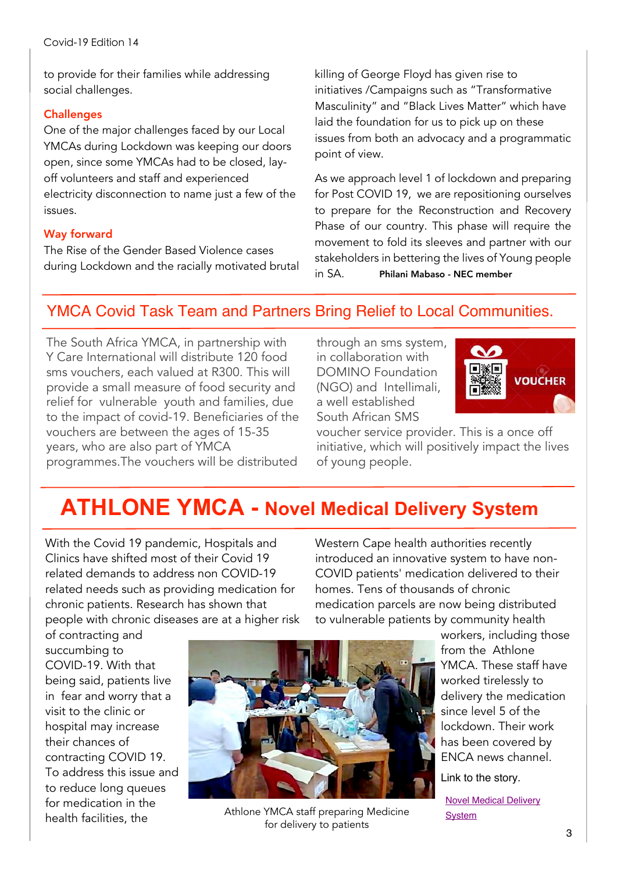to provide for their families while addressing social challenges.

#### **Challenges**

One of the major challenges faced by our Local YMCAs during Lockdown was keeping our doors open, since some YMCAs had to be closed, layoff volunteers and staff and experienced electricity disconnection to name just a few of the issues.

### Way forward

The Rise of the Gender Based Violence cases during Lockdown and the racially motivated brutal killing of George Floyd has given rise to initiatives /Campaigns such as "Transformative Masculinity" and "Black Lives Matter" which have laid the foundation for us to pick up on these issues from both an advocacy and a programmatic point of view.

As we approach level 1 of lockdown and preparing for Post COVID 19, we are repositioning ourselves to prepare for the Reconstruction and Recovery Phase of our country. This phase will require the movement to fold its sleeves and partner with our stakeholders in bettering the lives of Young people in SA. Philani Mabaso - NEC member

### YMCA Covid Task Team and Partners Bring Relief to Local Communities.

The South Africa YMCA, in partnership with Y Care International will distribute 120 food sms vouchers, each valued at R300. This will provide a small measure of food security and relief for vulnerable youth and families, due to the impact of covid-19. Beneficiaries of the vouchers are between the ages of 15-35 years, who are also part of YMCA programmes.The vouchers will be distributed through an sms system, in collaboration with DOMINO Foundation (NGO) and Intellimali, a well established South African SMS



voucher service provider. This is a once off initiative, which will positively impact the lives of young people.

## **ATHLONE YMCA - Novel Medical Delivery System**

With the Covid 19 pandemic, Hospitals and Clinics have shifted most of their Covid 19 related demands to address non COVID-19 related needs such as providing medication for chronic patients. Research has shown that people with chronic diseases are at a higher risk

Western Cape health authorities recently introduced an innovative system to have non-COVID patients' medication delivered to their homes. Tens of thousands of chronic medication parcels are now being distributed to vulnerable patients by community health

of contracting and succumbing to COVID-19. With that being said, patients live in fear and worry that a visit to the clinic or hospital may increase their chances of contracting COVID 19. To address this issue and to reduce long queues for medication in the health facilities, the



Athlone YMCA staff preparing Medicine for delivery to patients

workers, including those from the Athlone YMCA. These staff have worked tirelessly to delivery the medication since level 5 of the lockdown. Their work has been covered by ENCA news channel.

Link to the story.

Novel Medical [Delivery](https://www.youtube.com/watch?v=Gh2v9g1VsRM&ab_channel=eNCA) **[System](https://www.youtube.com/watch?v=Gh2v9g1VsRM&ab_channel=eNCA)**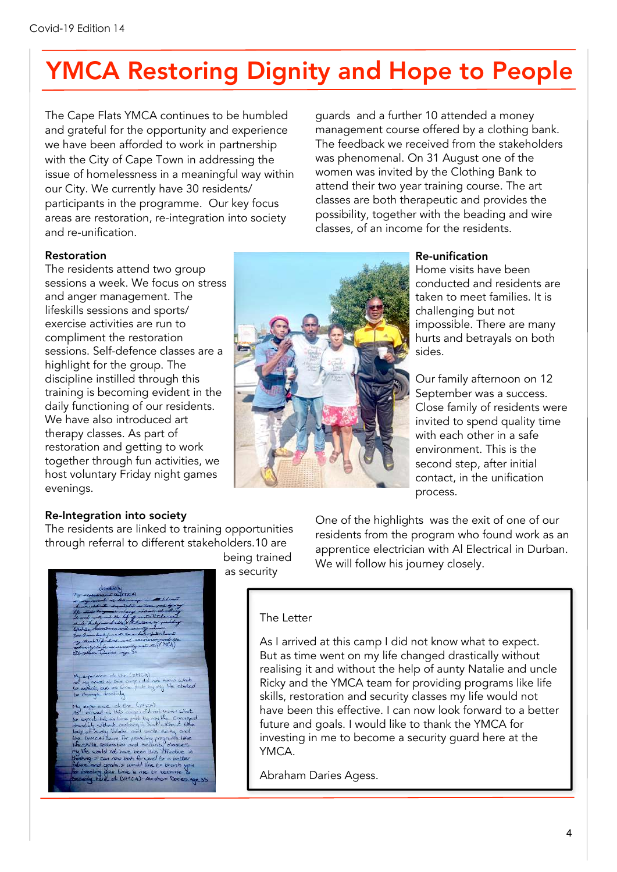# YMCA Restoring Dignity and Hope to People

The Cape Flats YMCA continues to be humbled and grateful for the opportunity and experience we have been afforded to work in partnership with the City of Cape Town in addressing the issue of homelessness in a meaningful way within our City. We currently have 30 residents/ participants in the programme. Our key focus areas are restoration, re-integration into society and re-unification.

guards and a further 10 attended a money management course offered by a clothing bank. The feedback we received from the stakeholders was phenomenal. On 31 August one of the women was invited by the Clothing Bank to attend their two year training course. The art classes are both therapeutic and provides the possibility, together with the beading and wire classes, of an income for the residents.

#### Restoration

The residents attend two group sessions a week. We focus on stress and anger management. The lifeskills sessions and sports/ exercise activities are run to compliment the restoration sessions. Self-defence classes are a highlight for the group. The discipline instilled through this training is becoming evident in the daily functioning of our residents. We have also introduced art therapy classes. As part of restoration and getting to work together through fun activities, we host voluntary Friday night games evenings.



#### Re-unification

Home visits have been conducted and residents are taken to meet families. It is challenging but not impossible. There are many hurts and betrayals on both sides.

Our family afternoon on 12 September was a success. Close family of residents were invited to spend quality time with each other in a safe environment. This is the second step, after initial contact, in the unification process.

#### Re-Integration into society

The residents are linked to training opportunities through referral to different stakeholders.10 are



being trained as security

One of the highlights was the exit of one of our residents from the program who found work as an apprentice electrician with Al Electrical in Durban. We will follow his journey closely.

#### The Letter

As I arrived at this camp I did not know what to expect. But as time went on my life changed drastically without realising it and without the help of aunty Natalie and uncle Ricky and the YMCA team for providing programs like life skills, restoration and security classes my life would not have been this effective. I can now look forward to a better future and goals. I would like to thank the YMCA for investing in me to become a security guard here at the YMCA.

Abraham Daries Agess.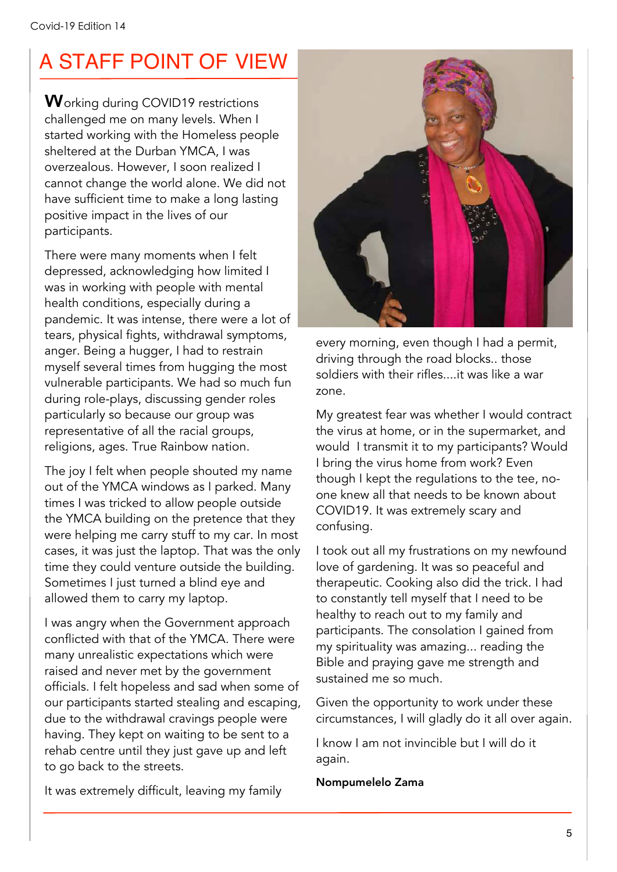## A STAFF POINT OF VIEW

Working during COVID19 restrictions challenged me on many levels. When I started working with the Homeless people sheltered at the Durban YMCA, I was overzealous. However, I soon realized I cannot change the world alone. We did not have sufficient time to make a long lasting positive impact in the lives of our participants.

There were many moments when I felt depressed, acknowledging how limited I was in working with people with mental health conditions, especially during a pandemic. It was intense, there were a lot of tears, physical fights, withdrawal symptoms, anger. Being a hugger, I had to restrain myself several times from hugging the most vulnerable participants. We had so much fun during role-plays, discussing gender roles particularly so because our group was representative of all the racial groups, religions, ages. True Rainbow nation.

The joy I felt when people shouted my name out of the YMCA windows as I parked. Many times I was tricked to allow people outside the YMCA building on the pretence that they were helping me carry stuff to my car. In most cases, it was just the laptop. That was the only time they could venture outside the building. Sometimes I just turned a blind eye and allowed them to carry my laptop.

I was angry when the Government approach conflicted with that of the YMCA. There were many unrealistic expectations which were raised and never met by the government officials. I felt hopeless and sad when some of our participants started stealing and escaping, due to the withdrawal cravings people were having. They kept on waiting to be sent to a rehab centre until they just gave up and left to go back to the streets.

It was extremely difficult, leaving my family



every morning, even though I had a permit, driving through the road blocks.. those soldiers with their rifles....it was like a war zone.

My greatest fear was whether I would contract the virus at home, or in the supermarket, and would I transmit it to my participants? Would I bring the virus home from work? Even though I kept the regulations to the tee, noone knew all that needs to be known about COVID19. It was extremely scary and confusing.

I took out all my frustrations on my newfound love of gardening. It was so peaceful and therapeutic. Cooking also did the trick. I had to constantly tell myself that I need to be healthy to reach out to my family and participants. The consolation I gained from my spirituality was amazing... reading the Bible and praying gave me strength and sustained me so much.

Given the opportunity to work under these circumstances, I will gladly do it all over again.

I know I am not invincible but I will do it again.

Nompumelelo Zama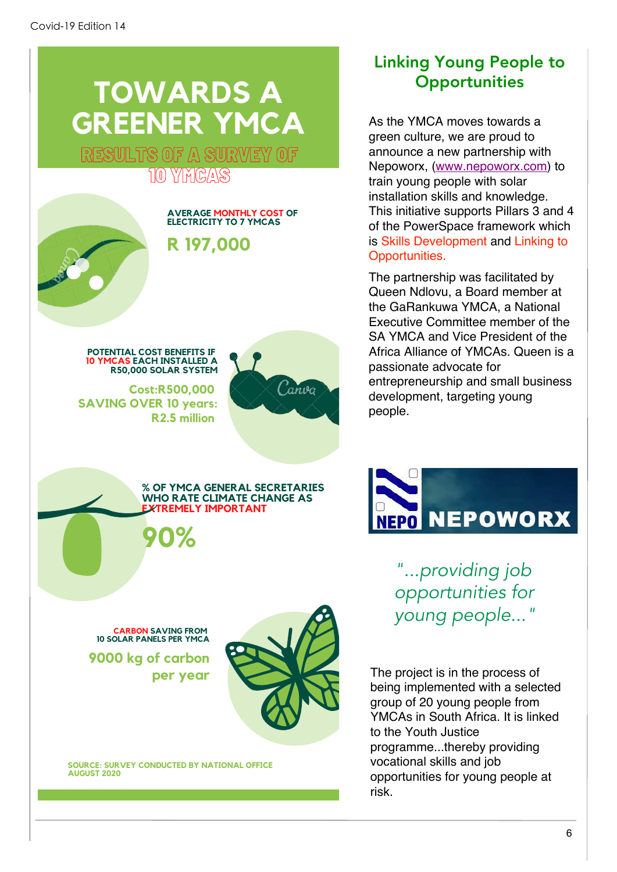## **TOWARDS A GREENER YMCA**

RESULTS OF A SURVEY OF TO YAYEAS



**POTENTIAL COST BENEFITS IF 10 YMCAS EACH INSTALLED A R50.000 SOLAR SYSTEM** 

 $Cost: R500.000$ **\$AVING OVER 10 years:** R2.5 million



#### $%$  OF YMCA GENERAL SECRETARIES **WHO RATE CLIMATE CHANGE AS EXTREMELY IMPORTANT**

**>?Z**

### **CARBON SAVING FROM 10 SOLAR PANELS PER YMCA** per year



**9000 kg of carbon** 

**\$ 80URCE: SURVEY CONDUCTED BY NATIONAL OFFICE %/%\$ 7?7?**

### Linking Young People to **Opportunities**

As the YMCA moves towards a green culture, we are proud to announce a new partnership with Nepoworx, ([www.nepoworx.com\)](http://www.nepoworx.co.za) to train young people with solar installation skills and knowledge. This initiative supports Pillars 3 and 4 of the PowerSpace framework which is Skills Development and Linking to Opportunities.

The partnership was facilitated by Queen Ndlovu, a Board member at the GaRankuwa YMCA, a National Executive Committee member of the SA YMCA and Vice President of the Africa Alliance of YMCAs. Queen is a passionate advocate for entrepreneurship and small business development, targeting young people.



*"...providing job opportunities for young people..."*

The project is in the process of being implemented with a selected group of 20 young people from YMCAs in South Africa. It is linked to the Youth Justice programme...thereby providing vocational skills and job opportunities for young people at risk.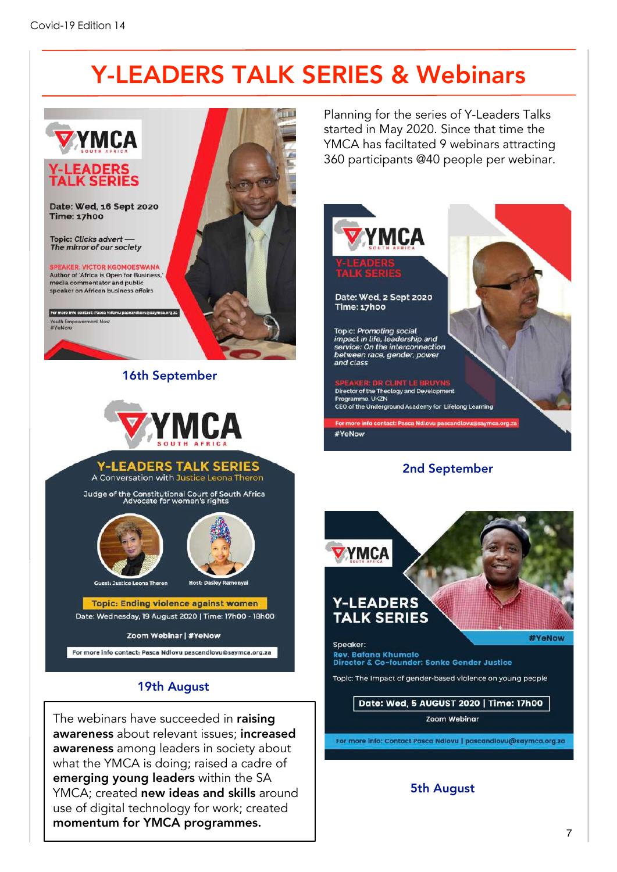## Y-LEADERS TALK SERIES & Webinars



awareness about relevant issues; increased awareness among leaders in society about what the YMCA is doing; raised a cadre of emerging young leaders within the SA YMCA; created new ideas and skills around use of digital technology for work; created momentum for YMCA programmes.

Zoom Webinar

For more info: Contact Pasca Ndlovu | pascandiovu@saymca.org.za

### 5th August

#YeNow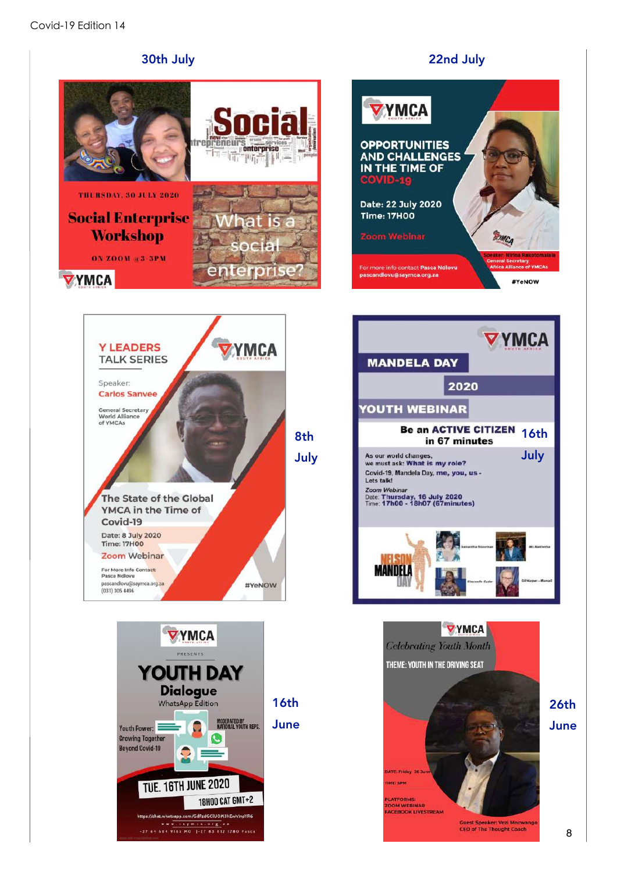













26th June